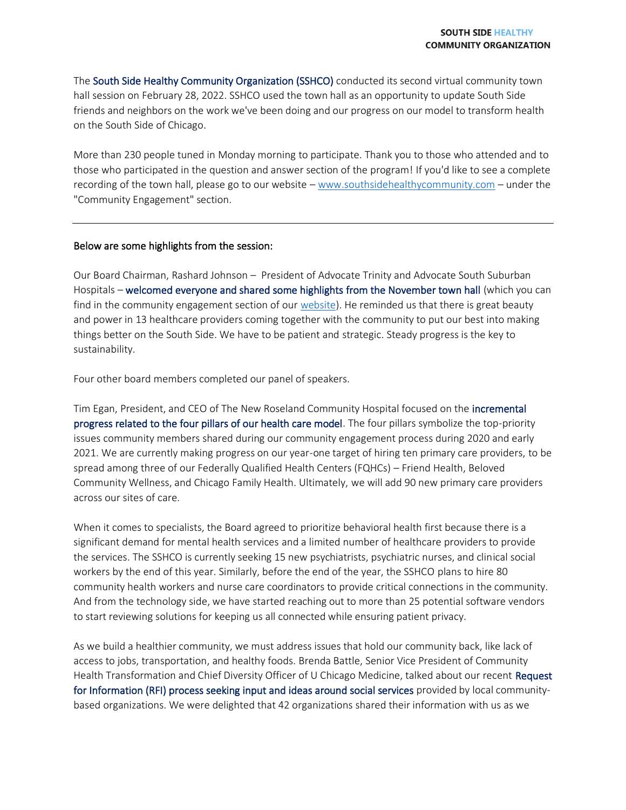The South Side Healthy Community Organization (SSHCO) conducted its second virtual community town hall session on February 28, 2022. SSHCO used the town hall as an opportunity to update South Side friends and neighbors on the work we've been doing and our progress on our model to transform health on the South Side of Chicago.

More than 230 people tuned in Monday morning to participate. Thank you to those who attended and to those who participated in the question and answer section of the program! If you'd like to see a complete recording of the town hall, please go to our website – [www.southsidehealthycommunity.com](http://www.southsidehealthycommunity.com/) – under the "Community Engagement" section.

## Below are some highlights from the session:

Our Board Chairman, Rashard Johnson – President of Advocate Trinity and Advocate South Suburban Hospitals – welcomed everyone and shared some highlights from the November town hall (which you can find in the community engagement section of our [website\)](http://southsidehealthycommunity.com/community-engagement/). He reminded us that there is great beauty and power in 13 healthcare providers coming together with the community to put our best into making things better on the South Side. We have to be patient and strategic. Steady progress is the key to sustainability.

Four other board members completed our panel of speakers.

Tim Egan, President, and CEO of The New Roseland Community Hospital focused on the incremental progress related to the four pillars of our health care model. The four pillars symbolize the top-priority issues community members shared during our community engagement process during 2020 and early 2021. We are currently making progress on our year-one target of hiring ten primary care providers, to be spread among three of our Federally Qualified Health Centers (FQHCs) – Friend Health, Beloved Community Wellness, and Chicago Family Health. Ultimately, we will add 90 new primary care providers across our sites of care.

When it comes to specialists, the Board agreed to prioritize behavioral health first because there is a significant demand for mental health services and a limited number of healthcare providers to provide the services. The SSHCO is currently seeking 15 new psychiatrists, psychiatric nurses, and clinical social workers by the end of this year. Similarly, before the end of the year, the SSHCO plans to hire 80 community health workers and nurse care coordinators to provide critical connections in the community. And from the technology side, we have started reaching out to more than 25 potential software vendors to start reviewing solutions for keeping us all connected while ensuring patient privacy.

As we build a healthier community, we must address issues that hold our community back, like lack of access to jobs, transportation, and healthy foods. Brenda Battle, Senior Vice President of Community Health Transformation and Chief Diversity Officer of U Chicago Medicine, talked about our recent Request for Information (RFI) process seeking input and ideas around social services provided by local communitybased organizations. We were delighted that 42 organizations shared their information with us as we